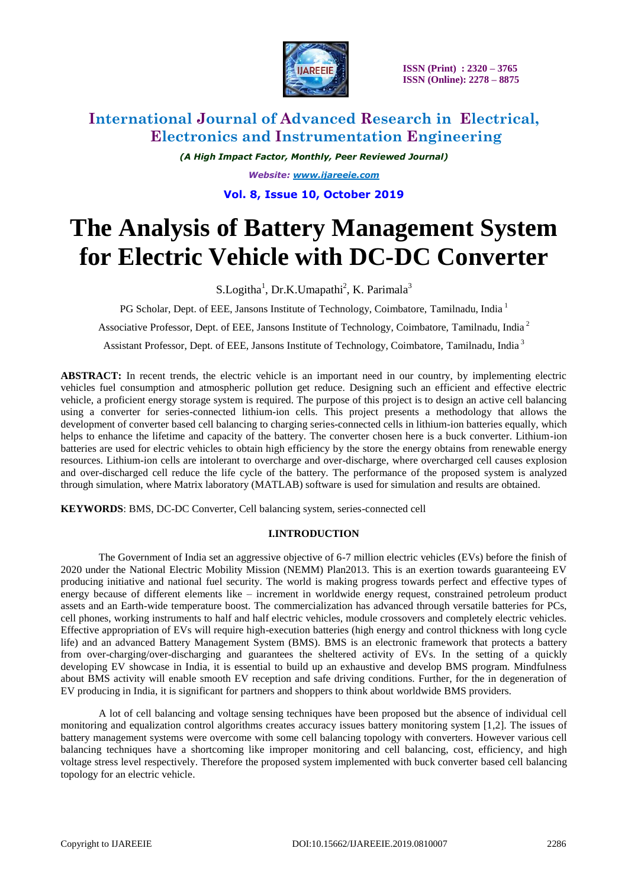

# **International Journal of Advanced Research in Electrical, Electronics and Instrumentation Engineering**

*(A High Impact Factor, Monthly, Peer Reviewed Journal) Website: [www.ijareeie.com](http://www.ijareeie.com/)* **Vol. 8, Issue 10, October 2019**

# **The Analysis of Battery Management System for Electric Vehicle with DC-DC Converter**

S.Logitha<sup>1</sup>, Dr.K.Umapathi<sup>2</sup>, K. Parimala<sup>3</sup>

PG Scholar, Dept. of EEE, Jansons Institute of Technology, Coimbatore, Tamilnadu, India<sup>1</sup>

Associative Professor, Dept. of EEE, Jansons Institute of Technology, Coimbatore, Tamilnadu, India <sup>2</sup>

Assistant Professor, Dept. of EEE, Jansons Institute of Technology, Coimbatore, Tamilnadu, India <sup>3</sup>

**ABSTRACT:** In recent trends, the electric vehicle is an important need in our country, by implementing electric vehicles fuel consumption and atmospheric pollution get reduce. Designing such an efficient and effective electric vehicle, a proficient energy storage system is required. The purpose of this project is to design an active cell balancing using a converter for series-connected lithium-ion cells. This project presents a methodology that allows the development of converter based cell balancing to charging series-connected cells in lithium-ion batteries equally, which helps to enhance the lifetime and capacity of the battery. The converter chosen here is a buck converter. Lithium-ion batteries are used for electric vehicles to obtain high efficiency by the store the energy obtains from renewable energy resources. Lithium-ion cells are intolerant to overcharge and over-discharge, where overcharged cell causes explosion and over-discharged cell reduce the life cycle of the battery. The performance of the proposed system is analyzed through simulation, where Matrix laboratory (MATLAB) software is used for simulation and results are obtained.

**KEYWORDS**: BMS, DC-DC Converter, Cell balancing system, series-connected cell

### **I.INTRODUCTION**

The Government of India set an aggressive objective of 6-7 million electric vehicles (EVs) before the finish of 2020 under the National Electric Mobility Mission (NEMM) Plan2013. This is an exertion towards guaranteeing EV producing initiative and national fuel security. The world is making progress towards perfect and effective types of energy because of different elements like – increment in worldwide energy request, constrained petroleum product assets and an Earth-wide temperature boost. The commercialization has advanced through versatile batteries for PCs, cell phones, working instruments to half and half electric vehicles, module crossovers and completely electric vehicles. Effective appropriation of EVs will require high-execution batteries (high energy and control thickness with long cycle life) and an advanced Battery Management System (BMS). BMS is an electronic framework that protects a battery from over-charging/over-discharging and guarantees the sheltered activity of EVs. In the setting of a quickly developing EV showcase in India, it is essential to build up an exhaustive and develop BMS program. Mindfulness about BMS activity will enable smooth EV reception and safe driving conditions. Further, for the in degeneration of EV producing in India, it is significant for partners and shoppers to think about worldwide BMS providers.

A lot of cell balancing and voltage sensing techniques have been proposed but the absence of individual cell monitoring and equalization control algorithms creates accuracy issues battery monitoring system [1,2]. The issues of battery management systems were overcome with some cell balancing topology with converters. However various cell balancing techniques have a shortcoming like improper monitoring and cell balancing, cost, efficiency, and high voltage stress level respectively. Therefore the proposed system implemented with buck converter based cell balancing topology for an electric vehicle.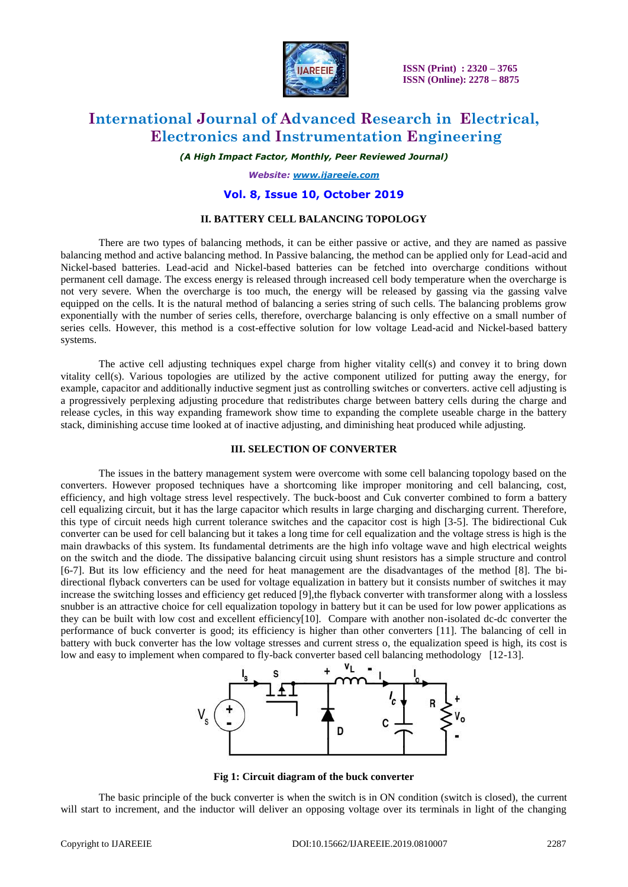

# **International Journal of Advanced Research in Electrical, Electronics and Instrumentation Engineering**

*(A High Impact Factor, Monthly, Peer Reviewed Journal)*

*Website: [www.ijareeie.com](http://www.ijareeie.com/)*

### **Vol. 8, Issue 10, October 2019**

#### **II. BATTERY CELL BALANCING TOPOLOGY**

There are two types of balancing methods, it can be either passive or active, and they are named as passive balancing method and active balancing method. In Passive balancing, the method can be applied only for Lead-acid and Nickel-based batteries. Lead-acid and Nickel-based batteries can be fetched into overcharge conditions without permanent cell damage. The excess energy is released through increased cell body temperature when the overcharge is not very severe. When the overcharge is too much, the energy will be released by gassing via the gassing valve equipped on the cells. It is the natural method of balancing a series string of such cells. The balancing problems grow exponentially with the number of series cells, therefore, overcharge balancing is only effective on a small number of series cells. However, this method is a cost-effective solution for low voltage Lead-acid and Nickel-based battery systems.

The active cell adjusting techniques expel charge from higher vitality cell(s) and convey it to bring down vitality cell(s). Various topologies are utilized by the active component utilized for putting away the energy, for example, capacitor and additionally inductive segment just as controlling switches or converters. active cell adjusting is a progressively perplexing adjusting procedure that redistributes charge between battery cells during the charge and release cycles, in this way expanding framework show time to expanding the complete useable charge in the battery stack, diminishing accuse time looked at of inactive adjusting, and diminishing heat produced while adjusting.

#### **III. SELECTION OF CONVERTER**

The issues in the battery management system were overcome with some cell balancing topology based on the converters. However proposed techniques have a shortcoming like improper monitoring and cell balancing, cost, efficiency, and high voltage stress level respectively. The buck-boost and Cuk converter combined to form a battery cell equalizing circuit, but it has the large capacitor which results in large charging and discharging current. Therefore, this type of circuit needs high current tolerance switches and the capacitor cost is high [3-5]. The bidirectional Cuk converter can be used for cell balancing but it takes a long time for cell equalization and the voltage stress is high is the main drawbacks of this system. Its fundamental detriments are the high info voltage wave and high electrical weights on the switch and the diode. The dissipative balancing circuit using shunt resistors has a simple structure and control [6-7]. But its low efficiency and the need for heat management are the disadvantages of the method [8]. The bidirectional flyback converters can be used for voltage equalization in battery but it consists number of switches it may increase the switching losses and efficiency get reduced [9],the flyback converter with transformer along with a lossless snubber is an attractive choice for cell equalization topology in battery but it can be used for low power applications as they can be built with low cost and excellent efficiency[10]. Compare with another non-isolated dc-dc converter the performance of buck converter is good; its efficiency is higher than other converters [11]. The balancing of cell in battery with buck converter has the low voltage stresses and current stress o, the equalization speed is high, its cost is low and easy to implement when compared to fly-back converter based cell balancing methodology [12-13].



**Fig 1: Circuit diagram of the buck converter** 

The basic principle of the buck converter is when the switch is in ON condition (switch is closed), the current will start to increment, and the inductor will deliver an opposing voltage over its terminals in light of the changing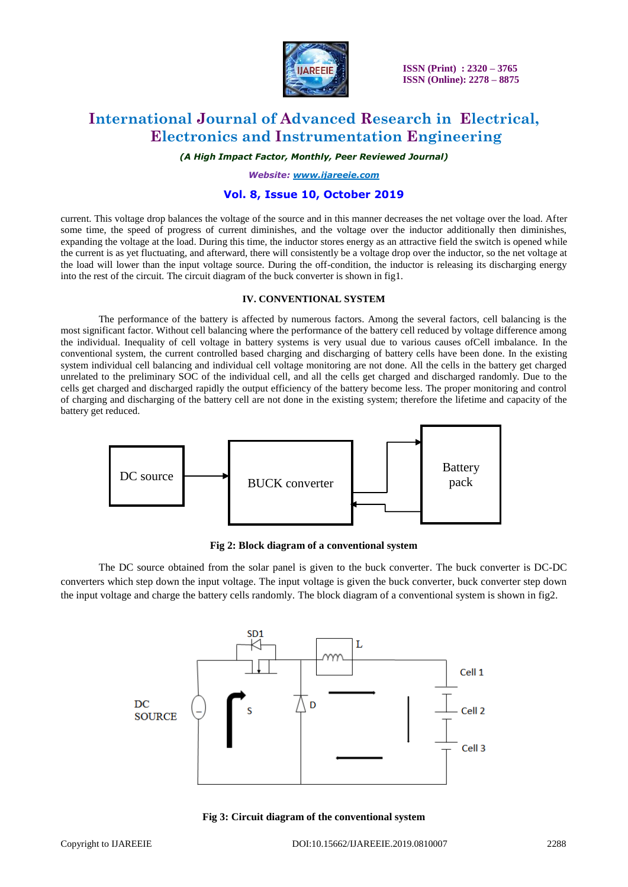

# **International Journal of Advanced Research in Electrical, Electronics and Instrumentation Engineering**

*(A High Impact Factor, Monthly, Peer Reviewed Journal)*

*Website: [www.ijareeie.com](http://www.ijareeie.com/)*

### **Vol. 8, Issue 10, October 2019**

current. This voltage drop balances the voltage of the source and in this manner decreases the net voltage over the load. After some time, the speed of progress of current diminishes, and the voltage over the inductor additionally then diminishes, expanding the voltage at the load. During this time, the inductor stores energy as an attractive field the switch is opened while the current is as yet fluctuating, and afterward, there will consistently be a voltage drop over the inductor, so the net voltage at the load will lower than the input voltage source. During the off-condition, the inductor is releasing its discharging energy into the rest of the circuit. The circuit diagram of the buck converter is shown in fig1.

### **IV. CONVENTIONAL SYSTEM**

The performance of the battery is affected by numerous factors. Among the several factors, cell balancing is the most significant factor. Without cell balancing where the performance of the battery cell reduced by voltage difference among the individual. Inequality of cell voltage in battery systems is very usual due to various causes ofCell imbalance. In the conventional system, the current controlled based charging and discharging of battery cells have been done. In the existing system individual cell balancing and individual cell voltage monitoring are not done. All the cells in the battery get charged unrelated to the preliminary SOC of the individual cell, and all the cells get charged and discharged randomly. Due to the cells get charged and discharged rapidly the output efficiency of the battery become less. The proper monitoring and control of charging and discharging of the battery cell are not done in the existing system; therefore the lifetime and capacity of the battery get reduced.



**Fig 2: Block diagram of a conventional system**

The DC source obtained from the solar panel is given to the buck converter. The buck converter is DC-DC converters which step down the input voltage. The input voltage is given the buck converter, buck converter step down the input voltage and charge the battery cells randomly. The block diagram of a conventional system is shown in fig2.



**Fig 3: Circuit diagram of the conventional system**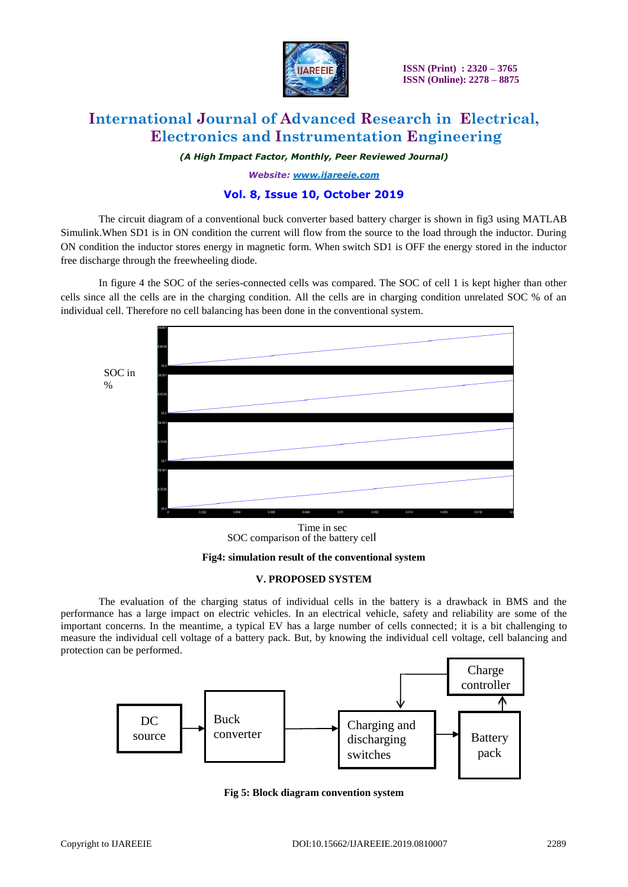

# **International Journal of Advanced Research in Electrical, Electronics and Instrumentation Engineering**

*(A High Impact Factor, Monthly, Peer Reviewed Journal)*

*Website: [www.ijareeie.com](http://www.ijareeie.com/)*

### **Vol. 8, Issue 10, October 2019**

The circuit diagram of a conventional buck converter based battery charger is shown in fig3 using MATLAB Simulink.When SD1 is in ON condition the current will flow from the source to the load through the inductor. During ON condition the inductor stores energy in magnetic form. When switch SD1 is OFF the energy stored in the inductor free discharge through the freewheeling diode.

In figure 4 the SOC of the series-connected cells was compared. The SOC of cell 1 is kept higher than other cells since all the cells are in the charging condition. All the cells are in charging condition unrelated SOC % of an individual cell. Therefore no cell balancing has been done in the conventional system.



SOC comparison of the battery cell Time in sec

**Fig4: simulation result of the conventional system**

#### **V. PROPOSED SYSTEM**

The evaluation of the charging status of individual cells in the battery is a drawback in BMS and the performance has a large impact on electric vehicles. In an electrical vehicle, safety and reliability are some of the important concerns. In the meantime, a typical EV has a large number of cells connected; it is a bit challenging to measure the individual cell voltage of a battery pack. But, by knowing the individual cell voltage, cell balancing and protection can be performed.



**Fig 5: Block diagram convention system**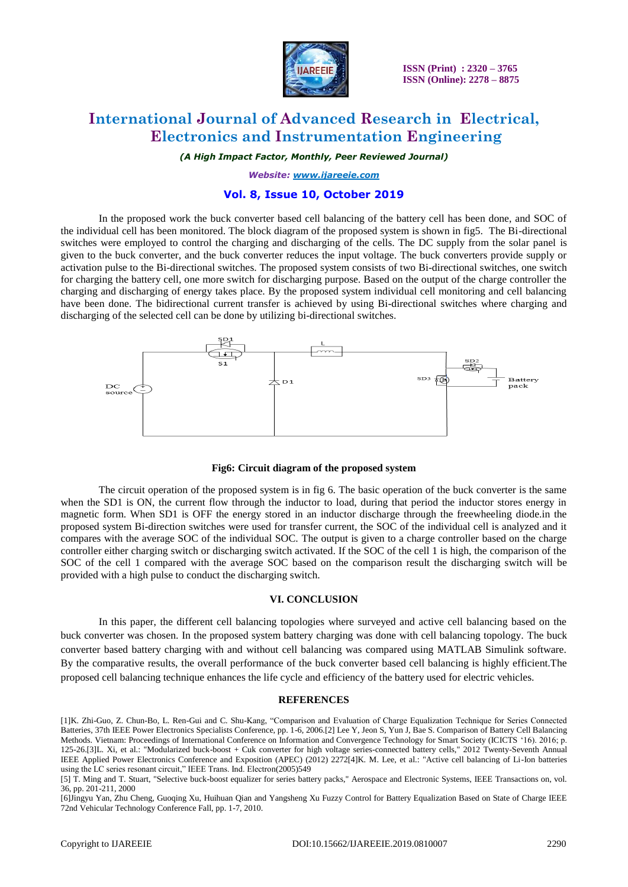

# **International Journal of Advanced Research in Electrical, Electronics and Instrumentation Engineering**

*(A High Impact Factor, Monthly, Peer Reviewed Journal)*

*Website: [www.ijareeie.com](http://www.ijareeie.com/)*

### **Vol. 8, Issue 10, October 2019**

In the proposed work the buck converter based cell balancing of the battery cell has been done, and SOC of the individual cell has been monitored. The block diagram of the proposed system is shown in fig5. The Bi-directional switches were employed to control the charging and discharging of the cells. The DC supply from the solar panel is given to the buck converter, and the buck converter reduces the input voltage. The buck converters provide supply or activation pulse to the Bi-directional switches. The proposed system consists of two Bi-directional switches, one switch for charging the battery cell, one more switch for discharging purpose. Based on the output of the charge controller the charging and discharging of energy takes place. By the proposed system individual cell monitoring and cell balancing have been done. The bidirectional current transfer is achieved by using Bi-directional switches where charging and discharging of the selected cell can be done by utilizing bi-directional switches.



#### **Fig6: Circuit diagram of the proposed system**

The circuit operation of the proposed system is in fig 6. The basic operation of the buck converter is the same when the SD1 is ON, the current flow through the inductor to load, during that period the inductor stores energy in magnetic form. When SD1 is OFF the energy stored in an inductor discharge through the freewheeling diode.in the proposed system Bi-direction switches were used for transfer current, the SOC of the individual cell is analyzed and it compares with the average SOC of the individual SOC. The output is given to a charge controller based on the charge controller either charging switch or discharging switch activated. If the SOC of the cell 1 is high, the comparison of the SOC of the cell 1 compared with the average SOC based on the comparison result the discharging switch will be provided with a high pulse to conduct the discharging switch.

#### **VI. CONCLUSION**

In this paper, the different cell balancing topologies where surveyed and active cell balancing based on the buck converter was chosen. In the proposed system battery charging was done with cell balancing topology. The buck converter based battery charging with and without cell balancing was compared using MATLAB Simulink software. By the comparative results, the overall performance of the buck converter based cell balancing is highly efficient.The proposed cell balancing technique enhances the life cycle and efficiency of the battery used for electric vehicles.

#### **REFERENCES**

[1]K. Zhi-Guo, Z. Chun-Bo, L. Ren-Gui and C. Shu-Kang, "Comparison and Evaluation of Charge Equalization Technique for Series Connected Batteries, 37th IEEE Power Electronics Specialists Conference, pp. 1-6, 2006.[2] Lee Y, Jeon S, Yun J, Bae S. Comparison of Battery Cell Balancing Methods. Vietnam: Proceedings of International Conference on Information and Convergence Technology for Smart Society (ICICTS "16). 2016; p. 125-26.[3]L. Xi, et al.: "Modularized buck-boost + Cuk converter for high voltage series-connected battery cells," 2012 Twenty-Seventh Annual IEEE Applied Power Electronics Conference and Exposition (APEC) (2012) 2272[4]K. M. Lee, et al.: "Active cell balancing of Li-Ion batteries using the LC series resonant circuit," IEEE Trans. Ind. Electron(2005)549

[6]Jingyu Yan, Zhu Cheng, Guoqing Xu, Huihuan Qian and Yangsheng Xu Fuzzy Control for Battery Equalization Based on State of Charge IEEE 72nd Vehicular Technology Conference Fall, pp. 1-7, 2010.

<sup>[5]</sup> T. Ming and T. Stuart, "Selective buck-boost equalizer for series battery packs," Aerospace and Electronic Systems, IEEE Transactions on, vol. 36, pp. 201-211, 2000